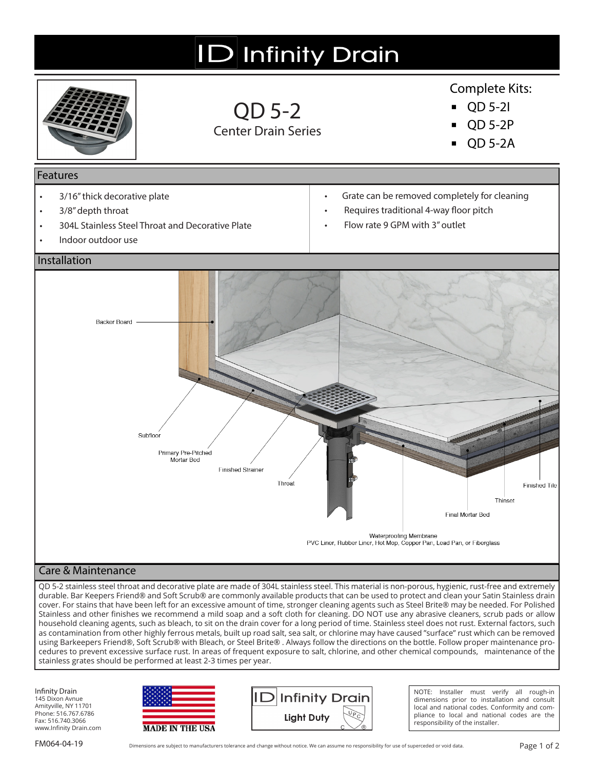

using Barkeepers Friend®, Soft Scrub® with Bleach, or Steel Brite® . Always follow the directions on the bottle. Follow proper maintenance procedures to prevent excessive surface rust. In areas of frequent exposure to salt, chlorine, and other chemical compounds, maintenance of the stainless grates should be performed at least 2-3 times per year.

Infinity Drain 145 Dixon Avnue Amityville, NY 11701 Phone: 516.767.6786 Fax: 516.740.3066 www.Infinity Drain.com





NOTE: Installer must verify all rough-in dimensions prior to installation and consult local and national codes. Conformity and compliance to local and national codes are the responsibility of the installer.